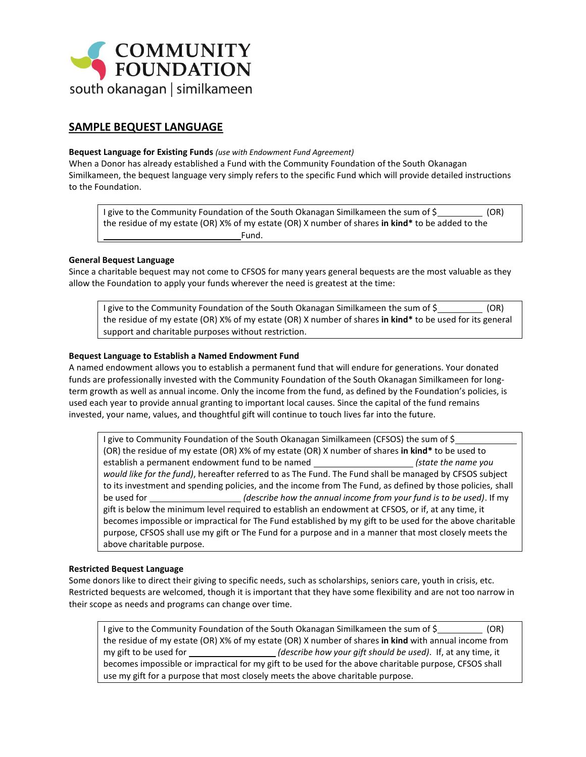

# **SAMPLE BEQUEST LANGUAGE**

#### **Bequest Language for Existing Funds** *(use with Endowment Fund Agreement)*

When a Donor has already established a Fund with the Community Foundation of the South Okanagan Similkameen, the bequest language very simply refers to the specific Fund which will provide detailed instructions to the Foundation.

I give to the Community Foundation of the South Okanagan Similkameen the sum of \$ (OR) the residue of my estate (OR) X% of my estate (OR) X number of shares **in kind\*** to be added to the Fund.

## **General Bequest Language**

Since a charitable bequest may not come to CFSOS for many years general bequests are the most valuable as they allow the Foundation to apply your funds wherever the need is greatest at the time:

I give to the Community Foundation of the South Okanagan Similkameen the sum of \$ (OR) the residue of my estate (OR) X% of my estate (OR) X number of shares **in kind\*** to be used for its general support and charitable purposes without restriction.

#### **Bequest Language to Establish a Named Endowment Fund**

A named endowment allows you to establish a permanent fund that will endure for generations. Your donated funds are professionally invested with th[e Community](http://www.humboldt.edu/hsuaf/) Foundation of the South Okanagan Similkameen for longterm growth as well as annual income. Only the income from the fund, as defined by the Foundation's policies, is used each year to provide annual granting to important local causes. Since the capital of the fund remains invested, your name, values, and thoughtful gift will continue to touch lives far into the future.

I give t[o Community](http://www.humboldt.edu/hsuaf/) Foundation of the South Okanagan Similkameen (CFSOS) the sum of \$\_ (OR) the residue of my estate (OR) X% of my estate (OR) X number of shares **in kind\*** to be used to establish a permanent endowment fund to be named *(state the name you would like for the fund)*, hereafter referred to as The Fund. The Fund shall be managed by CFSOS subject to its investment and spending policies, and the income from The Fund, as defined by those policies, shall be used for *(describe how the annual income from your fund is to be used)*. If my gift is below the minimum level required to establish an endowment at CFSOS, or if, at any time, it becomes impossible or impractical for The Fund established by my gift to be used for the above charitable purpose, CFSOS shall use my gift or The Fund for a purpose and in a manner that most closely meets the above charitable purpose.

#### **Restricted Bequest Language**

Some donors like to direct their giving to specific needs, such as scholarships, seniors care, youth in crisis, etc. Restricted bequests are welcomed, though it is important that they have some flexibility and are not too narrow in their scope as needs and programs can change over time.

I give to the Community Foundation of the South Okanagan Similkameen the sum of \$ the residue of my estate (OR) X% of my estate (OR) X number of shares **in kind** with annual income from my gift to be used for \_\_\_\_\_\_\_\_\_\_\_\_\_\_\_\_\_\_\_\_(describe how your gift should be used). If, at any time, it becomes impossible or impractical for my gift to be used for the above charitable purpose, CFSOS shall use my gift for a purpose that most closely meets the above charitable purpose.